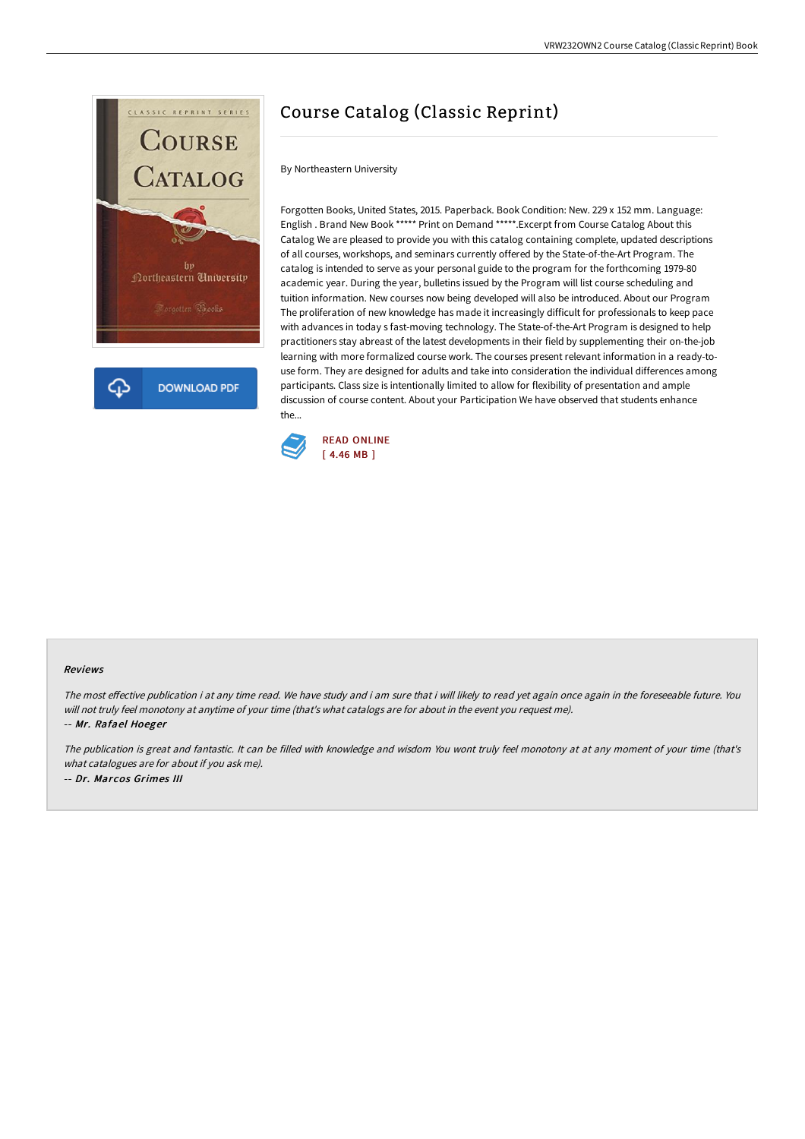

## Course Catalog (Classic Reprint)

## By Northeastern University

Forgotten Books, United States, 2015. Paperback. Book Condition: New. 229 x 152 mm. Language: English . Brand New Book \*\*\*\*\* Print on Demand \*\*\*\*\*.Excerpt from Course Catalog About this Catalog We are pleased to provide you with this catalog containing complete, updated descriptions of all courses, workshops, and seminars currently offered by the State-of-the-Art Program. The catalog is intended to serve as your personal guide to the program for the forthcoming 1979-80 academic year. During the year, bulletins issued by the Program will list course scheduling and tuition information. New courses now being developed will also be introduced. About our Program The proliferation of new knowledge has made it increasingly difficult for professionals to keep pace with advances in today s fast-moving technology. The State-of-the-Art Program is designed to help practitioners stay abreast of the latest developments in their field by supplementing their on-the-job learning with more formalized course work. The courses present relevant information in a ready-touse form. They are designed for adults and take into consideration the individual differences among participants. Class size is intentionally limited to allow for flexibility of presentation and ample discussion of course content. About your Participation We have observed that students enhance the...



## Reviews

The most effective publication i at any time read. We have study and i am sure that i will likely to read yet again once again in the foreseeable future. You will not truly feel monotony at anytime of your time (that's what catalogs are for about in the event you request me). -- Mr. Rafael Hoeger

The publication is great and fantastic. It can be filled with knowledge and wisdom You wont truly feel monotony at at any moment of your time (that's what catalogues are for about if you ask me). -- Dr. Marcos Grimes III